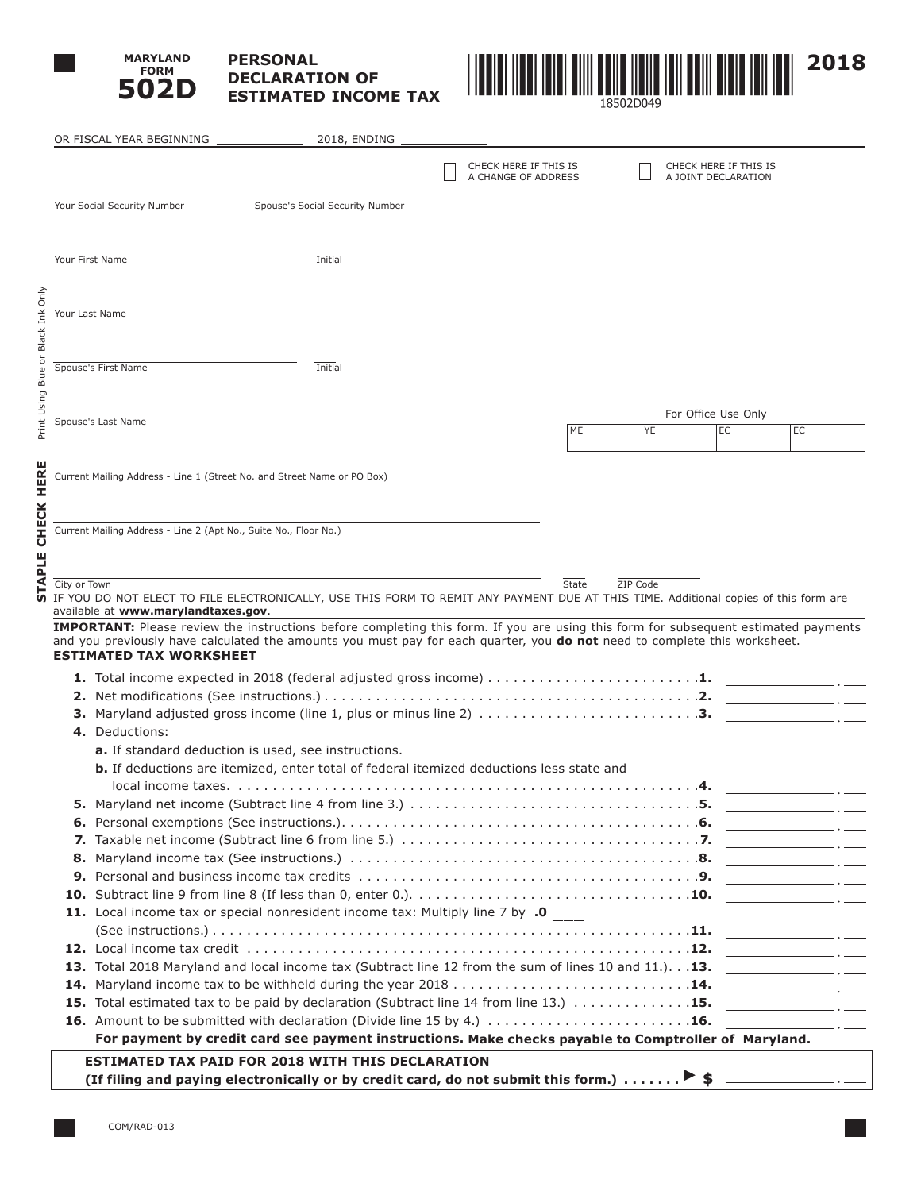

**STAPLE CHECK HERE**

STAPLE CHECK HERE

Print Using Blue or Black Ink Only

Print Using Blue or Black Ink Only

# **PERSONAL DECLARATION OF ESTIMATED INCOME TAX**



|              | OR FISCAL YEAR BEGINNING                                         | 2018, ENDING                                                                                                                               |                       |       |          |                           |                                                                                                                                                                                                                                      |                                                     |
|--------------|------------------------------------------------------------------|--------------------------------------------------------------------------------------------------------------------------------------------|-----------------------|-------|----------|---------------------------|--------------------------------------------------------------------------------------------------------------------------------------------------------------------------------------------------------------------------------------|-----------------------------------------------------|
|              |                                                                  |                                                                                                                                            | CHECK HERE IF THIS IS |       |          | CHECK HERE IF THIS IS     |                                                                                                                                                                                                                                      |                                                     |
|              |                                                                  |                                                                                                                                            | A CHANGE OF ADDRESS   |       |          | A JOINT DECLARATION       |                                                                                                                                                                                                                                      |                                                     |
|              | Your Social Security Number                                      | Spouse's Social Security Number                                                                                                            |                       |       |          |                           |                                                                                                                                                                                                                                      |                                                     |
|              |                                                                  |                                                                                                                                            |                       |       |          |                           |                                                                                                                                                                                                                                      |                                                     |
|              |                                                                  |                                                                                                                                            |                       |       |          |                           |                                                                                                                                                                                                                                      |                                                     |
|              | Your First Name                                                  | Initial                                                                                                                                    |                       |       |          |                           |                                                                                                                                                                                                                                      |                                                     |
|              |                                                                  |                                                                                                                                            |                       |       |          |                           |                                                                                                                                                                                                                                      |                                                     |
|              |                                                                  |                                                                                                                                            |                       |       |          |                           |                                                                                                                                                                                                                                      |                                                     |
|              | Your Last Name                                                   |                                                                                                                                            |                       |       |          |                           |                                                                                                                                                                                                                                      |                                                     |
|              |                                                                  |                                                                                                                                            |                       |       |          |                           |                                                                                                                                                                                                                                      |                                                     |
|              | Spouse's First Name                                              | Initial                                                                                                                                    |                       |       |          |                           |                                                                                                                                                                                                                                      |                                                     |
|              |                                                                  |                                                                                                                                            |                       |       |          |                           |                                                                                                                                                                                                                                      |                                                     |
|              |                                                                  |                                                                                                                                            |                       |       |          |                           |                                                                                                                                                                                                                                      |                                                     |
|              | Spouse's Last Name                                               |                                                                                                                                            |                       | ME    | YE       | For Office Use Only<br>EC | EC                                                                                                                                                                                                                                   |                                                     |
|              |                                                                  |                                                                                                                                            |                       |       |          |                           |                                                                                                                                                                                                                                      |                                                     |
|              |                                                                  |                                                                                                                                            |                       |       |          |                           |                                                                                                                                                                                                                                      |                                                     |
|              |                                                                  | Current Mailing Address - Line 1 (Street No. and Street Name or PO Box)                                                                    |                       |       |          |                           |                                                                                                                                                                                                                                      |                                                     |
|              |                                                                  |                                                                                                                                            |                       |       |          |                           |                                                                                                                                                                                                                                      |                                                     |
|              |                                                                  |                                                                                                                                            |                       |       |          |                           |                                                                                                                                                                                                                                      |                                                     |
|              | Current Mailing Address - Line 2 (Apt No., Suite No., Floor No.) |                                                                                                                                            |                       |       |          |                           |                                                                                                                                                                                                                                      |                                                     |
|              |                                                                  |                                                                                                                                            |                       |       |          |                           |                                                                                                                                                                                                                                      |                                                     |
| City or Town |                                                                  |                                                                                                                                            |                       | State | ZIP Code |                           |                                                                                                                                                                                                                                      |                                                     |
|              |                                                                  | IF YOU DO NOT ELECT TO FILE ELECTRONICALLY, USE THIS FORM TO REMIT ANY PAYMENT DUE AT THIS TIME. Additional copies of this form are        |                       |       |          |                           |                                                                                                                                                                                                                                      |                                                     |
|              | available at www.marylandtaxes.gov.                              | <b>IMPORTANT:</b> Please review the instructions before completing this form. If you are using this form for subsequent estimated payments |                       |       |          |                           |                                                                                                                                                                                                                                      |                                                     |
|              | <b>ESTIMATED TAX WORKSHEET</b>                                   | and you previously have calculated the amounts you must pay for each quarter, you <b>do not</b> need to complete this worksheet.           |                       |       |          |                           |                                                                                                                                                                                                                                      |                                                     |
|              |                                                                  |                                                                                                                                            |                       |       |          |                           |                                                                                                                                                                                                                                      |                                                     |
|              |                                                                  |                                                                                                                                            |                       |       |          |                           |                                                                                                                                                                                                                                      |                                                     |
|              |                                                                  | 3. Maryland adjusted gross income (line 1, plus or minus line 2) 3.                                                                        |                       |       |          |                           |                                                                                                                                                                                                                                      |                                                     |
|              | 4. Deductions:                                                   |                                                                                                                                            |                       |       |          |                           |                                                                                                                                                                                                                                      |                                                     |
|              |                                                                  | a. If standard deduction is used, see instructions.                                                                                        |                       |       |          |                           |                                                                                                                                                                                                                                      |                                                     |
|              |                                                                  | <b>b.</b> If deductions are itemized, enter total of federal itemized deductions less state and                                            |                       |       |          |                           |                                                                                                                                                                                                                                      |                                                     |
|              |                                                                  |                                                                                                                                            |                       |       |          |                           |                                                                                                                                                                                                                                      |                                                     |
|              |                                                                  |                                                                                                                                            |                       |       |          |                           |                                                                                                                                                                                                                                      |                                                     |
|              |                                                                  |                                                                                                                                            |                       |       |          |                           |                                                                                                                                                                                                                                      |                                                     |
|              |                                                                  |                                                                                                                                            |                       |       |          |                           |                                                                                                                                                                                                                                      |                                                     |
|              |                                                                  |                                                                                                                                            |                       |       |          |                           |                                                                                                                                                                                                                                      |                                                     |
|              |                                                                  |                                                                                                                                            |                       |       |          |                           |                                                                                                                                                                                                                                      |                                                     |
|              |                                                                  | 11. Local income tax or special nonresident income tax: Multiply line 7 by .0                                                              |                       |       |          |                           | <u> 1980 - Johann Stoff, amerikansk politiker (</u> † 1920)                                                                                                                                                                          |                                                     |
|              |                                                                  |                                                                                                                                            |                       |       |          |                           |                                                                                                                                                                                                                                      |                                                     |
|              |                                                                  |                                                                                                                                            |                       |       |          |                           |                                                                                                                                                                                                                                      |                                                     |
|              |                                                                  | 13. Total 2018 Maryland and local income tax (Subtract line 12 from the sum of lines 10 and 11.). 13.                                      |                       |       |          |                           |                                                                                                                                                                                                                                      |                                                     |
|              |                                                                  |                                                                                                                                            |                       |       |          |                           | <u> The Common State of the Common State of the Common State of the Common State of the Common State of the Common State of the Common State of the Common State of the Common State of the Common State of the Common State of </u> |                                                     |
|              |                                                                  | 15. Total estimated tax to be paid by declaration (Subtract line 14 from line 13.) 15.                                                     |                       |       |          |                           |                                                                                                                                                                                                                                      |                                                     |
|              |                                                                  |                                                                                                                                            |                       |       |          |                           | <u> 1989 - Johann Stoff, amerikansk politiker (</u>                                                                                                                                                                                  |                                                     |
|              |                                                                  | For payment by credit card see payment instructions. Make checks payable to Comptroller of Maryland.                                       |                       |       |          |                           |                                                                                                                                                                                                                                      |                                                     |
|              |                                                                  | <b>ESTIMATED TAX PAID FOR 2018 WITH THIS DECLARATION</b>                                                                                   |                       |       |          |                           |                                                                                                                                                                                                                                      |                                                     |
|              |                                                                  | (If filing and paying electronically or by credit card, do not submit this form.) $\triangleright$ \$                                      |                       |       |          |                           |                                                                                                                                                                                                                                      | $\overline{\phantom{a}}$ . $\overline{\phantom{a}}$ |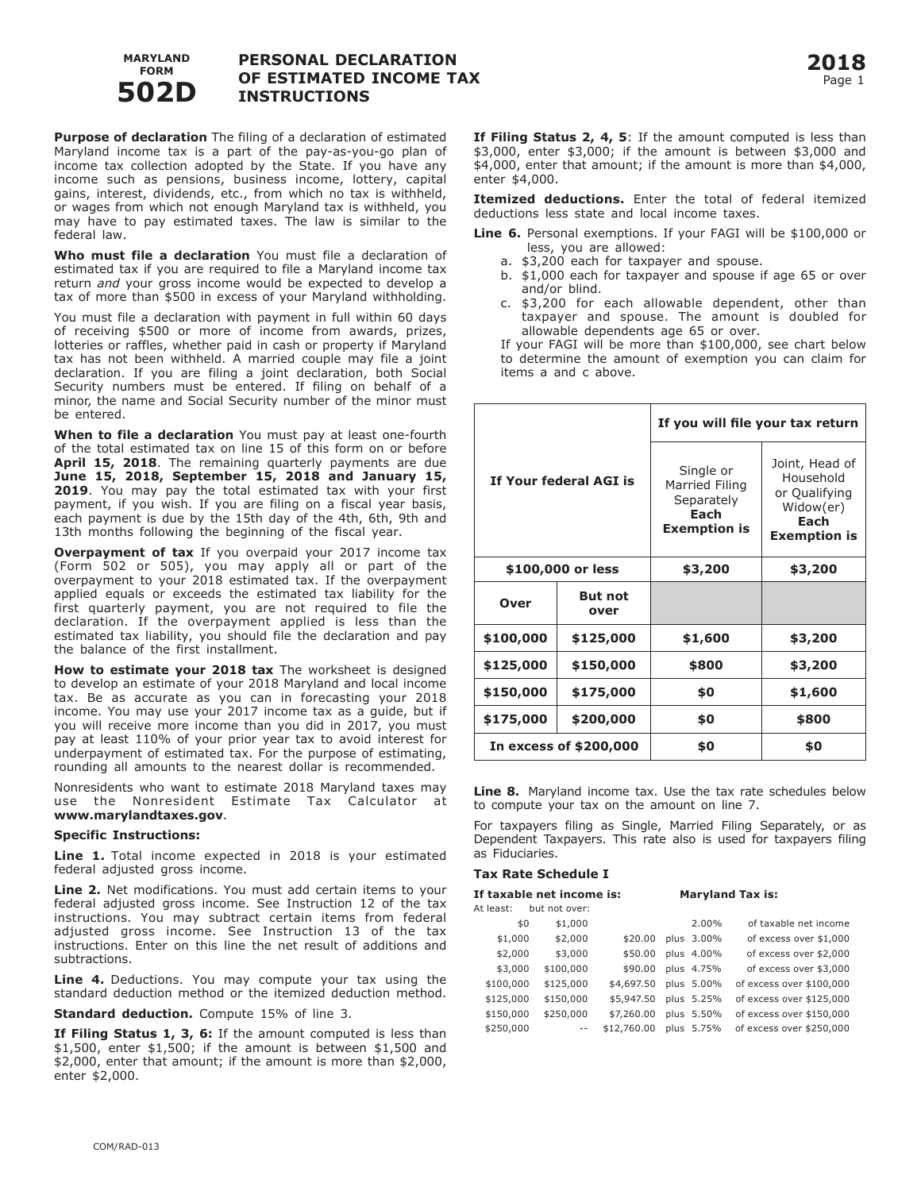

## **PERSONAL DECLARATION OF ESTIMATED INCOME TAX INSTRUCTIONS**

**Purpose of declaration** The filing of a declaration of estimated Maryland income tax is a part of the pay-as-you-go plan of income tax collection adopted by the State. If you have any income such as pensions, business income, lottery, capital gains, interest, dividends, etc., from which no tax is withheld, or wages from which not enough Maryland tax is withheld, you may have to pay estimated taxes. The law is similar to the federal law.

**Who must file a declaration** You must file a declaration of estimated tax if you are required to file a Maryland income tax return *and* your gross income would be expected to develop a tax of more than \$500 in excess of your Maryland withholding.

You must file a declaration with payment in full within 60 days of receiving \$500 or more of income from awards, prizes, lotteries or raffles, whether paid in cash or property if Maryland tax has not been withheld. A married couple may file a joint declaration. If you are filing a joint declaration, both Social Security numbers must be entered. If filing on behalf of a minor, the name and Social Security number of the minor must be entered.

**When to file a declaration** You must pay at least one-fourth of the total estimated tax on line 15 of this form on or before **April 15, 2018**. The remaining quarterly payments are due **June 15, 2018, September 15, 2018 and January 15, 2019**. You may pay the total estimated tax with your first payment, if you wish. If you are filing on a fiscal year basis, each payment is due by the 15th day of the 4th, 6th, 9th and 13th months following the beginning of the fiscal year.

**Overpayment of tax** If you overpaid your 2017 income tax (Form 502 or 505), you may apply all or part of the overpayment to your 2018 estimated tax. If the overpayment applied equals or exceeds the estimated tax liability for the first quarterly payment, you are not required to file the declaration. If the overpayment applied is less than the estimated tax liability, you should file the declaration and pay the balance of the first installment.

**How to estimate your 2018 tax** The worksheet is designed to develop an estimate of your 2018 Maryland and local income tax. Be as accurate as you can in forecasting your 2018 income. You may use your 2017 income tax as a guide, but if you will receive more income than you did in 2017, you must pay at least 110% of your prior year tax to avoid interest for underpayment of estimated tax. For the purpose of estimating, rounding all amounts to the nearest dollar is recommended.

Nonresidents who want to estimate 2018 Maryland taxes may use the Nonresident Estimate Tax Calculator at **www.marylandtaxes.gov**.

#### **Specific Instructions:**

**Line 1.** Total income expected in 2018 is your estimated federal adjusted gross income.

**Line 2.** Net modifications. You must add certain items to your federal adjusted gross income. See Instruction 12 of the tax instructions. You may subtract certain items from federal adjusted gross income. See Instruction 13 of the tax instructions. Enter on this line the net result of additions and subtractions.

**Line 4.** Deductions. You may compute your tax using the standard deduction method or the itemized deduction method.

**Standard deduction.** Compute 15% of line 3.

**If Filing Status 1, 3, 6:** If the amount computed is less than \$1,500, enter \$1,500; if the amount is between \$1,500 and \$2,000, enter that amount; if the amount is more than \$2,000, enter \$2,000.

**If Filing Status 2, 4, 5**: If the amount computed is less than \$3,000, enter \$3,000; if the amount is between \$3,000 and \$4,000, enter that amount; if the amount is more than \$4,000, enter \$4,000.

**Itemized deductions.** Enter the total of federal itemized deductions less state and local income taxes.

**Line 6.** Personal exemptions. If your FAGI will be \$100,000 or less, you are allowed:

- a. \$3,200 each for taxpayer and spouse.
- b. \$1,000 each for taxpayer and spouse if age 65 or over and/or blind.
- c. \$3,200 for each allowable dependent, other than taxpayer and spouse. The amount is doubled for allowable dependents age 65 or over.

 If your FAGI will be more than \$100,000, see chart below to determine the amount of exemption you can claim for items a and c above.

|                        |                        | If you will file your tax return                                         |                                                                                          |  |  |  |
|------------------------|------------------------|--------------------------------------------------------------------------|------------------------------------------------------------------------------------------|--|--|--|
|                        | If Your federal AGI is | Single or<br>Married Filing<br>Separately<br>Each<br><b>Exemption is</b> | Joint, Head of<br>Household<br>or Qualifying<br>Widow(er)<br>Each<br><b>Exemption is</b> |  |  |  |
|                        | \$100,000 or less      | \$3,200                                                                  | \$3,200                                                                                  |  |  |  |
| Over                   | <b>But not</b><br>over |                                                                          |                                                                                          |  |  |  |
| \$100,000              | \$125,000              | \$1,600                                                                  | \$3,200                                                                                  |  |  |  |
| \$125,000              | \$150,000              | \$800                                                                    | \$3,200                                                                                  |  |  |  |
| \$150,000<br>\$175,000 |                        | \$0                                                                      | \$1,600                                                                                  |  |  |  |
| \$175,000<br>\$200,000 |                        | \$0                                                                      | \$800                                                                                    |  |  |  |
|                        | In excess of \$200,000 | \$0                                                                      | \$0                                                                                      |  |  |  |

**Line 8.** Maryland income tax. Use the tax rate schedules below to compute your tax on the amount on line 7.

For taxpayers filing as Single, Married Filing Separately, or as Dependent Taxpayers. This rate also is used for taxpayers filing as Fiduciaries.

#### **Tax Rate Schedule I**

| If taxable net income is: |     |               |             | <b>Maryland Tax is:</b> |                          |  |  |  |
|---------------------------|-----|---------------|-------------|-------------------------|--------------------------|--|--|--|
| At least:                 |     | but not over: |             |                         |                          |  |  |  |
|                           | \$0 | \$1,000       |             | 2.00%                   | of taxable net income    |  |  |  |
| \$1,000                   |     | \$2,000       | \$20.00     | plus 3.00%              | of excess over \$1,000   |  |  |  |
| \$2,000                   |     | \$3,000       | \$50.00     | plus 4.00%              | of excess over \$2,000   |  |  |  |
| \$3,000                   |     | \$100,000     | \$90.00     | plus 4.75%              | of excess over \$3,000   |  |  |  |
| \$100,000                 |     | \$125,000     | \$4,697.50  | plus 5.00%              | of excess over \$100,000 |  |  |  |
| \$125,000                 |     | \$150,000     | \$5,947.50  | plus 5.25%              | of excess over \$125,000 |  |  |  |
| \$150,000                 |     | \$250,000     | \$7,260.00  | plus 5.50%              | of excess over \$150,000 |  |  |  |
| \$250,000                 |     | $- -$         | \$12,760.00 | plus 5.75%              | of excess over \$250,000 |  |  |  |